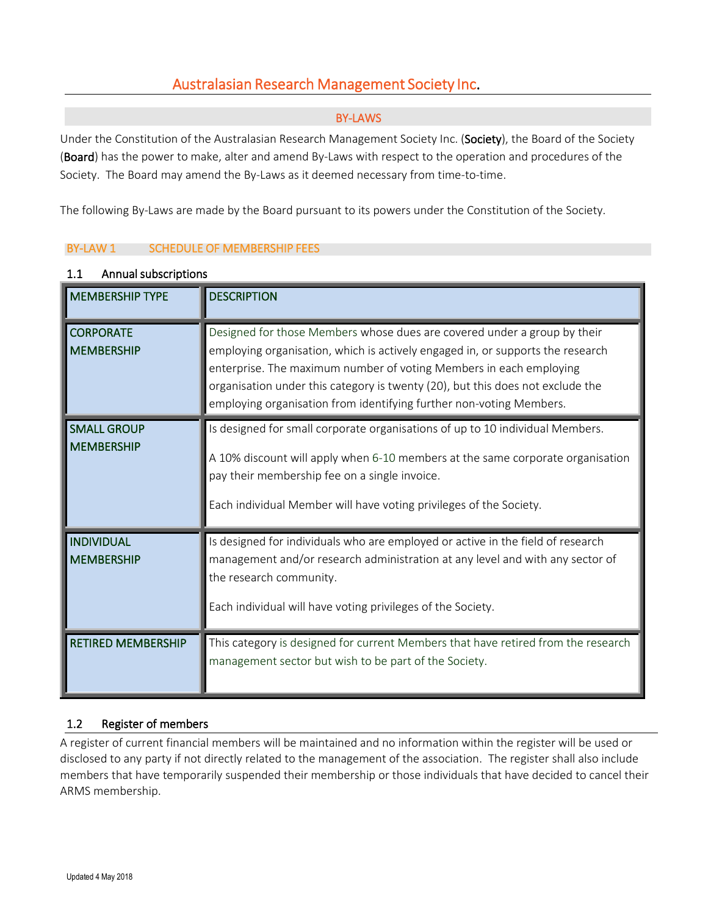# Australasian Research Management Society Inc.

### BY-LAWS

Under the Constitution of the Australasian Research Management Society Inc. (Society), the Board of the Society (Board) has the power to make, alter and amend By-Laws with respect to the operation and procedures of the Society. The Board may amend the By-Laws as it deemed necessary from time-to-time.

The following By-Laws are made by the Board pursuant to its powers under the Constitution of the Society.

### BY-LAW 1 SCHEDULE OF MEMBERSHIP FEES

| <b>MEMBERSHIP TYPE</b>                  | <b>DESCRIPTION</b>                                                                                                                                                                                                                                                                                                                                                                        |
|-----------------------------------------|-------------------------------------------------------------------------------------------------------------------------------------------------------------------------------------------------------------------------------------------------------------------------------------------------------------------------------------------------------------------------------------------|
| <b>CORPORATE</b><br><b>MEMBERSHIP</b>   | Designed for those Members whose dues are covered under a group by their<br>employing organisation, which is actively engaged in, or supports the research<br>enterprise. The maximum number of voting Members in each employing<br>organisation under this category is twenty (20), but this does not exclude the<br>employing organisation from identifying further non-voting Members. |
| <b>SMALL GROUP</b><br><b>MEMBERSHIP</b> | Is designed for small corporate organisations of up to 10 individual Members.<br>A 10% discount will apply when 6-10 members at the same corporate organisation<br>pay their membership fee on a single invoice.<br>Each individual Member will have voting privileges of the Society.                                                                                                    |
| <b>INDIVIDUAL</b><br><b>MEMBERSHIP</b>  | Is designed for individuals who are employed or active in the field of research<br>management and/or research administration at any level and with any sector of<br>the research community.<br>Each individual will have voting privileges of the Society.                                                                                                                                |
| <b>RETIRED MEMBERSHIP</b>               | This category is designed for current Members that have retired from the research<br>management sector but wish to be part of the Society.                                                                                                                                                                                                                                                |

#### 1.1 Annual subscriptions

### 1.2 Register of members

A register of current financial members will be maintained and no information within the register will be used or disclosed to any party if not directly related to the management of the association. The register shall also include members that have temporarily suspended their membership or those individuals that have decided to cancel their ARMS membership.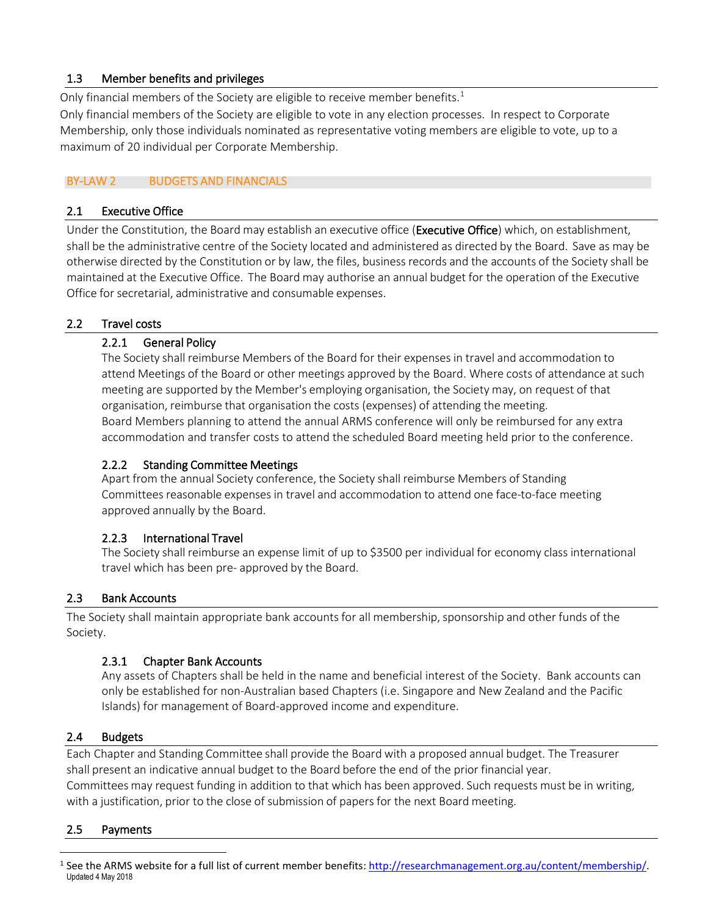## 1.3 Member benefits and privileges

Only financial members of the Society are eligible to receive member benefits.<sup>[1](#page-1-0)</sup>

Only financial members of the Society are eligible to vote in any election processes. In respect to Corporate Membership, only those individuals nominated as representative voting members are eligible to vote, up to a maximum of 20 individual per Corporate Membership.

## BY-LAW 2 BUDGETS AND FINANCIALS

### 2.1 Executive Office

Under the Constitution, the Board may establish an executive office (Executive Office) which, on establishment, shall be the administrative centre of the Society located and administered as directed by the Board. Save as may be otherwise directed by the Constitution or by law, the files, business records and the accounts of the Society shall be maintained at the Executive Office. The Board may authorise an annual budget for the operation of the Executive Office for secretarial, administrative and consumable expenses.

### 2.2 Travel costs

### 2.2.1 General Policy

The Society shall reimburse Members of the Board for their expenses in travel and accommodation to attend Meetings of the Board or other meetings approved by the Board. Where costs of attendance at such meeting are supported by the Member's employing organisation, the Society may, on request of that organisation, reimburse that organisation the costs (expenses) of attending the meeting. Board Members planning to attend the annual ARMS conference will only be reimbursed for any extra accommodation and transfer costs to attend the scheduled Board meeting held prior to the conference.

## 2.2.2 Standing Committee Meetings

Apart from the annual Society conference, the Society shall reimburse Members of Standing Committees reasonable expenses in travel and accommodation to attend one face-to-face meeting approved annually by the Board.

### 2.2.3 International Travel

The Society shall reimburse an expense limit of up to \$3500 per individual for economy class international travel which has been pre- approved by the Board.

### 2.3 Bank Accounts

The Society shall maintain appropriate bank accounts for all membership, sponsorship and other funds of the Society.

### 2.3.1 Chapter Bank Accounts

Any assets of Chapters shall be held in the name and beneficial interest of the Society. Bank accounts can only be established for non-Australian based Chapters (i.e. Singapore and New Zealand and the Pacific Islands) for management of Board-approved income and expenditure.

### 2.4 Budgets

Each Chapter and Standing Committee shall provide the Board with a proposed annual budget. The Treasurer shall present an indicative annual budget to the Board before the end of the prior financial year. Committees may request funding in addition to that which has been approved. Such requests must be in writing, with a justification, prior to the close of submission of papers for the next Board meeting.

### 2.5 Payments

<span id="page-1-0"></span>Updated 4 May 2018 <sup>1</sup> See the ARMS website for a full list of current member benefits: [http://researchmanagement.org.au/content/membership/.](http://researchmanagement.org.au/content/membership/)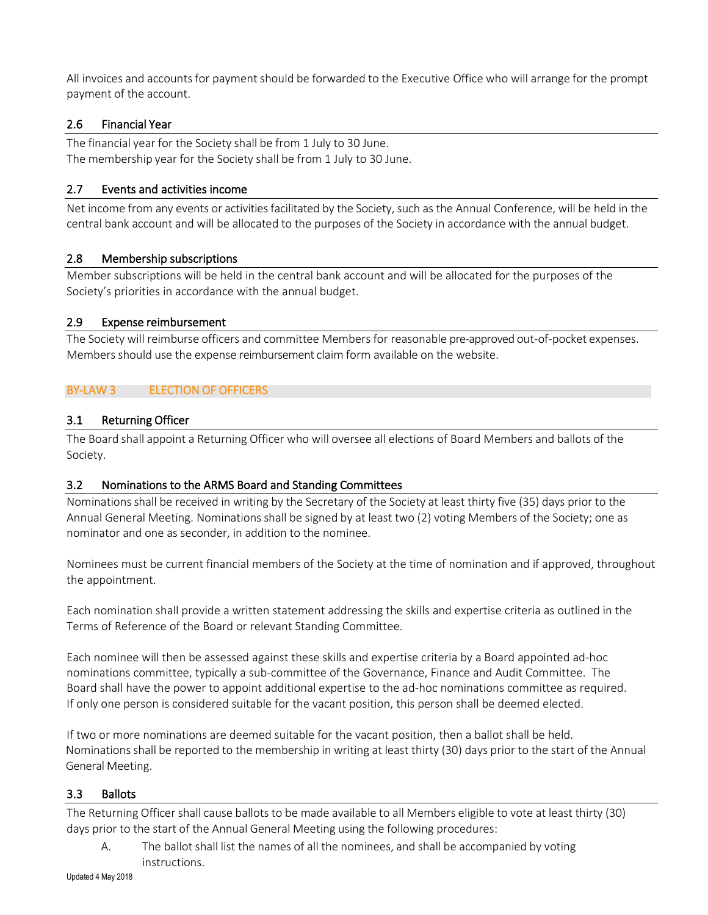All invoices and accounts for payment should be forwarded to the Executive Office who will arrange for the prompt payment of the account.

### 2.6 Financial Year

The financial year for the Society shall be from 1 July to 30 June. The membership year for the Society shall be from 1 July to 30 June.

#### 2.7 Events and activities income

Net income from any events or activities facilitated by the Society, such as the Annual Conference, will be held in the central bank account and will be allocated to the purposes of the Society in accordance with the annual budget.

### 2.8 Membership subscriptions

Member subscriptions will be held in the central bank account and will be allocated for the purposes of the Society's priorities in accordance with the annual budget.

#### 2.9 Expense reimbursement

The Society will reimburse officers and committee Members for reasonable pre-approved out-of-pocket expenses. Members should use the expense reimbursement claim form available on the website.

### BY-LAW 3 ELECTION OF OFFICERS

### 3.1 Returning Officer

The Board shall appoint a Returning Officer who will oversee all elections of Board Members and ballots of the Society.

#### 3.2 Nominations to the ARMS Board and Standing Committees

Nominations shall be received in writing by the Secretary of the Society at least thirty five (35) days prior to the Annual General Meeting. Nominationsshall be signed by at least two (2) voting Members of the Society; one as nominator and one as seconder, in addition to the nominee.

Nominees must be current financial members of the Society at the time of nomination and if approved, throughout the appointment.

Each nomination shall provide a written statement addressing the skills and expertise criteria as outlined in the Terms of Reference of the Board or relevant Standing Committee.

Each nominee will then be assessed against these skills and expertise criteria by a Board appointed ad-hoc nominations committee, typically a sub-committee of the Governance, Finance and Audit Committee. The Board shall have the power to appoint additional expertise to the ad-hoc nominations committee as required. If only one person is considered suitable for the vacant position, this person shall be deemed elected.

If two or more nominations are deemed suitable for the vacant position, then a ballot shall be held. Nominations shall be reported to the membership in writing at least thirty (30) days prior to the start of the Annual General Meeting.

#### 3.3 Ballots

The Returning Officer shall cause ballots to be made available to all Members eligible to vote at least thirty (30) days prior to the start of the Annual General Meeting using the following procedures:

A. The ballot shall list the names of all the nominees, and shall be accompanied by voting instructions.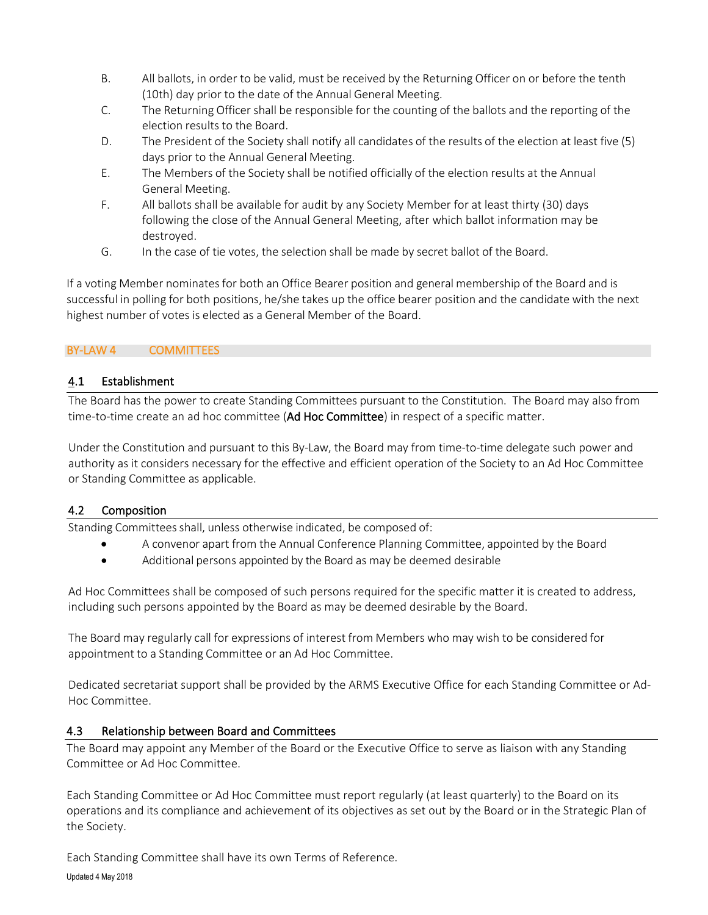- B. All ballots, in order to be valid, must be received by the Returning Officer on or before the tenth (10th) day prior to the date of the Annual General Meeting.
- C. The Returning Officer shall be responsible for the counting of the ballots and the reporting of the election results to the Board.
- D. The President of the Society shall notify all candidates of the results of the election at least five (5) days prior to the Annual General Meeting.
- E. The Members of the Society shall be notified officially of the election results at the Annual General Meeting.
- F. All ballots shall be available for audit by any Society Member for at least thirty (30) days following the close of the Annual General Meeting, after which ballot information may be destroyed.
- G. In the case of tie votes, the selection shall be made by secret ballot of the Board.

If a voting Member nominates for both an Office Bearer position and general membership of the Board and is successful in polling for both positions, he/she takes up the office bearer position and the candidate with the next highest number of votes is elected as a General Member of the Board.

### BY-LAW 4 COMMITTEES

### 4.1 Establishment

The Board has the power to create Standing Committees pursuant to the Constitution. The Board may also from time-to-time create an ad hoc committee (Ad Hoc Committee) in respect of a specific matter.

Under the Constitution and pursuant to this By-Law, the Board may from time-to-time delegate such power and authority as it considers necessary for the effective and efficient operation of the Society to an Ad Hoc Committee or Standing Committee as applicable.

### 4.2 Composition

Standing Committees shall, unless otherwise indicated, be composed of:

- A convenor apart from the Annual Conference Planning Committee, appointed by the Board
- Additional persons appointed by the Board as may be deemed desirable

Ad Hoc Committees shall be composed of such persons required for the specific matter it is created to address, including such persons appointed by the Board as may be deemed desirable by the Board.

The Board may regularly call for expressions of interest from Members who may wish to be considered for appointment to a Standing Committee or an Ad Hoc Committee.

Dedicated secretariat support shall be provided by the ARMS Executive Office for each Standing Committee or Ad-Hoc Committee.

### 4.3 Relationship between Board and Committees

The Board may appoint any Member of the Board or the Executive Office to serve as liaison with any Standing Committee or Ad Hoc Committee.

Each Standing Committee or Ad Hoc Committee must report regularly (at least quarterly) to the Board on its operations and its compliance and achievement of its objectives as set out by the Board or in the Strategic Plan of the Society.

Updated 4 May 2018 Each Standing Committee shall have its own Terms of Reference.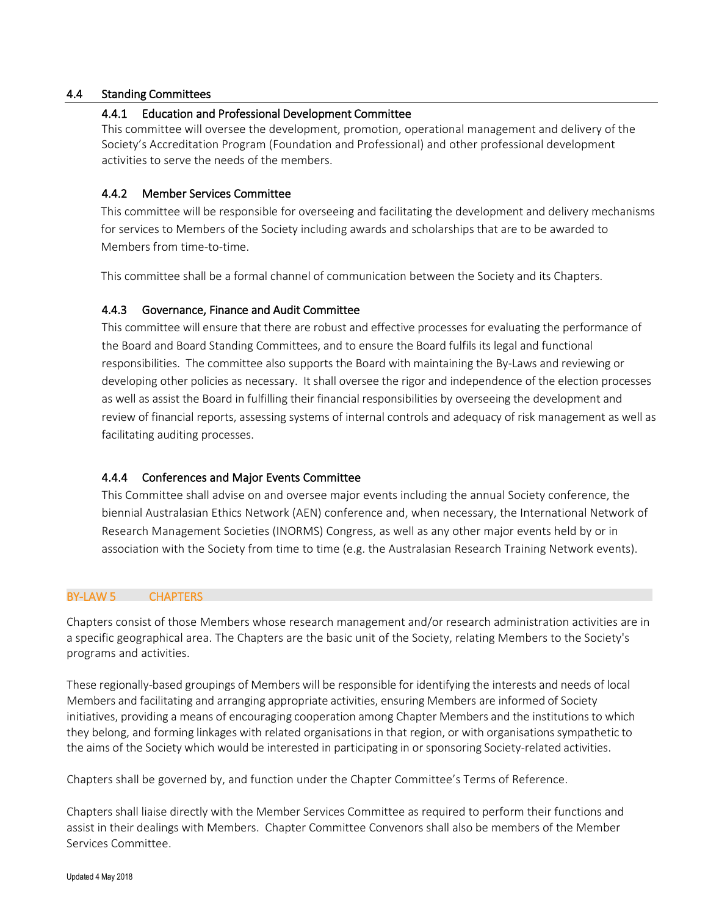#### 4.4 Standing Committees

#### 4.4.1 Education and Professional Development Committee

This committee will oversee the development, promotion, operational management and delivery of the Society's Accreditation Program (Foundation and Professional) and other professional development activities to serve the needs of the members.

#### 4.4.2 Member Services Committee

This committee will be responsible for overseeing and facilitating the development and delivery mechanisms for services to Members of the Society including awards and scholarships that are to be awarded to Members from time-to-time.

This committee shall be a formal channel of communication between the Society and its Chapters.

#### 4.4.3 Governance, Finance and Audit Committee

This committee will ensure that there are robust and effective processes for evaluating the performance of the Board and Board Standing Committees, and to ensure the Board fulfils its legal and functional responsibilities. The committee also supports the Board with maintaining the By-Laws and reviewing or developing other policies as necessary. It shall oversee the rigor and independence of the election processes as well as assist the Board in fulfilling their financial responsibilities by overseeing the development and review of financial reports, assessing systems of internal controls and adequacy of risk management as well as facilitating auditing processes.

#### 4.4.4 Conferences and Major Events Committee

This Committee shall advise on and oversee major events including the annual Society conference, the biennial Australasian Ethics Network (AEN) conference and, when necessary, the International Network of Research Management Societies (INORMS) Congress, as well as any other major events held by or in association with the Society from time to time (e.g. the Australasian Research Training Network events).

#### BY-LAW 5 CHAPTERS

Chapters consist of those Members whose research management and/or research administration activities are in a specific geographical area. The Chapters are the basic unit of the Society, relating Members to the Society's programs and activities.

These regionally-based groupings of Members will be responsible for identifying the interests and needs of local Members and facilitating and arranging appropriate activities, ensuring Members are informed of Society initiatives, providing a means of encouraging cooperation among Chapter Members and the institutions to which they belong, and forming linkages with related organisationsin that region, or with organisationssympathetic to the aims of the Society which would be interested in participating in or sponsoring Society-related activities.

Chapters shall be governed by, and function under the Chapter Committee's Terms of Reference.

Chapters shall liaise directly with the Member Services Committee as required to perform their functions and assist in their dealings with Members. Chapter Committee Convenors shall also be members of the Member Services Committee.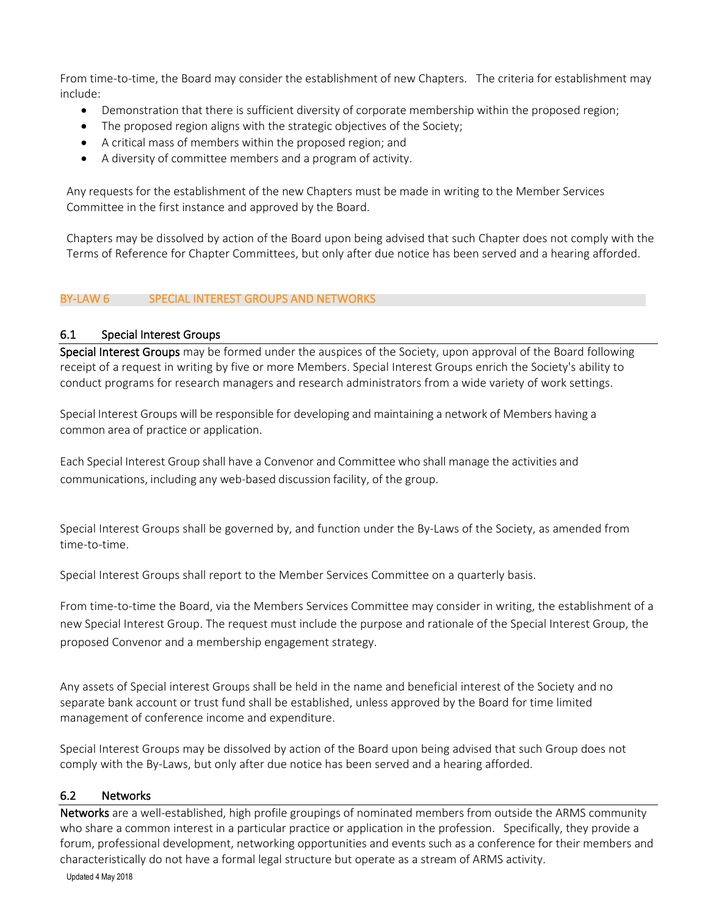From time-to-time, the Board may consider the establishment of new Chapters. The criteria for establishment may include:

- Demonstration that there is sufficient diversity of corporate membership within the proposed region;
- The proposed region aligns with the strategic objectives of the Society;
- A critical mass of members within the proposed region; and
- A diversity of committee members and a program of activity.

Any requests for the establishment of the new Chapters must be made in writing to the Member Services Committee in the first instance and approved by the Board.

Chapters may be dissolved by action of the Board upon being advised that such Chapter does not comply with the Terms of Reference for Chapter Committees, but only after due notice has been served and a hearing afforded.

#### BY-LAW 6 SPECIAL INTEREST GROUPS AND NETWORKS

### 6.1 Special Interest Groups

Special Interest Groups may be formed under the auspices of the Society, upon approval of the Board following receipt of a request in writing by five or more Members. Special Interest Groups enrich the Society's ability to conduct programs for research managers and research administrators from a wide variety of work settings.

Special Interest Groups will be responsible for developing and maintaining a network of Members having a common area of practice or application.

Each Special Interest Group shall have a Convenor and Committee who shall manage the activities and communications, including any web-based discussion facility, of the group.

Special Interest Groups shall be governed by, and function under the By-Laws of the Society, as amended from time-to-time.

Special Interest Groups shall report to the Member Services Committee on a quarterly basis.

From time-to-time the Board, via the Members Services Committee may consider in writing, the establishment of a new Special Interest Group. The request must include the purpose and rationale of the Special Interest Group, the proposed Convenor and a membership engagement strategy.

Any assets of Special interest Groups shall be held in the name and beneficial interest of the Society and no separate bank account or trust fund shall be established, unless approved by the Board for time limited management of conference income and expenditure.

Special Interest Groups may be dissolved by action of the Board upon being advised that such Group does not comply with the By-Laws, but only after due notice has been served and a hearing afforded.

#### 6.2 Networks

Networks are a well-established, high profile groupings of nominated members from outside the ARMS community who share a common interest in a particular practice or application in the profession. Specifically, they provide a forum, professional development, networking opportunities and events such as a conference for their members and characteristically do not have a formal legal structure but operate as a stream of ARMS activity.